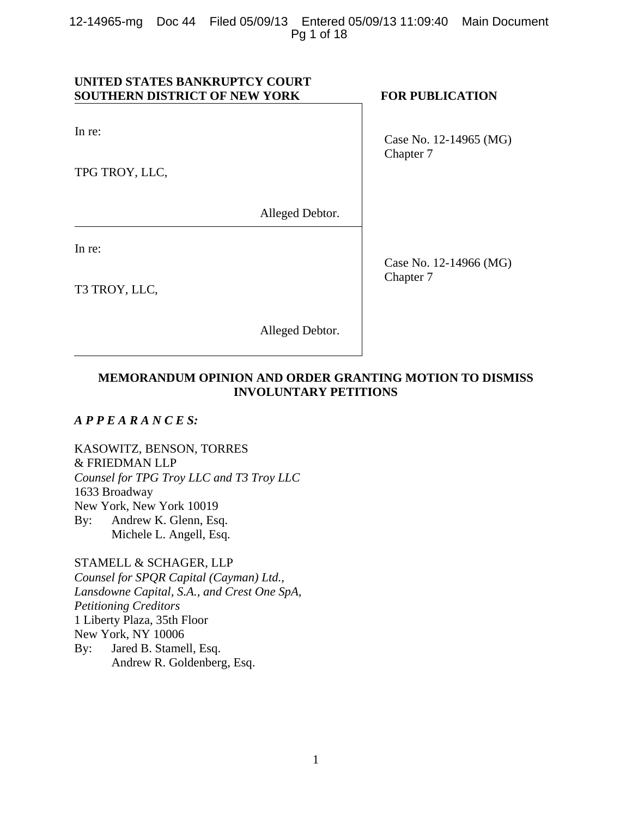# **UNITED STATES BANKRUPTCY COURT SOUTHERN DISTRICT OF NEW YORK FOR PUBLICATION**

In re:

TPG TROY, LLC,

Alleged Debtor.

In re:

T3 TROY, LLC,

Case No. 12-14965 (MG) Chapter 7

Case No. 12-14966 (MG) Chapter 7

# **MEMORANDUM OPINION AND ORDER GRANTING MOTION TO DISMISS INVOLUNTARY PETITIONS**

Alleged Debtor.

# *A P P E A R A N C E S:*

KASOWITZ, BENSON, TORRES & FRIEDMAN LLP *Counsel for TPG Troy LLC and T3 Troy LLC*  1633 Broadway New York, New York 10019 By: Andrew K. Glenn, Esq. Michele L. Angell, Esq.

STAMELL & SCHAGER, LLP *Counsel for SPQR Capital (Cayman) Ltd., Lansdowne Capital, S.A., and Crest One SpA, Petitioning Creditors*  1 Liberty Plaza, 35th Floor New York, NY 10006 By: Jared B. Stamell, Esq. Andrew R. Goldenberg, Esq.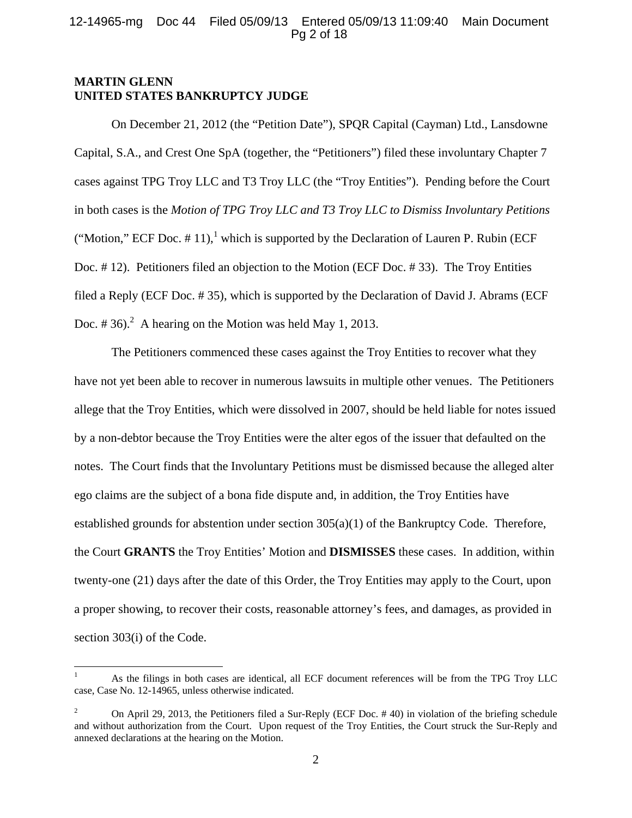# 12-14965-mg Doc 44 Filed 05/09/13 Entered 05/09/13 11:09:40 Main Document Pg 2 of 18

# **MARTIN GLENN UNITED STATES BANKRUPTCY JUDGE**

 $\overline{a}$ 

On December 21, 2012 (the "Petition Date"), SPQR Capital (Cayman) Ltd., Lansdowne Capital, S.A., and Crest One SpA (together, the "Petitioners") filed these involuntary Chapter 7 cases against TPG Troy LLC and T3 Troy LLC (the "Troy Entities"). Pending before the Court in both cases is the *Motion of TPG Troy LLC and T3 Troy LLC to Dismiss Involuntary Petitions*  ("Motion," ECF Doc.  $# 11$ ),<sup>1</sup> which is supported by the Declaration of Lauren P. Rubin (ECF) Doc. # 12). Petitioners filed an objection to the Motion (ECF Doc. # 33). The Troy Entities filed a Reply (ECF Doc. # 35), which is supported by the Declaration of David J. Abrams (ECF Doc. #36).<sup>2</sup> A hearing on the Motion was held May 1, 2013.

The Petitioners commenced these cases against the Troy Entities to recover what they have not yet been able to recover in numerous lawsuits in multiple other venues. The Petitioners allege that the Troy Entities, which were dissolved in 2007, should be held liable for notes issued by a non-debtor because the Troy Entities were the alter egos of the issuer that defaulted on the notes. The Court finds that the Involuntary Petitions must be dismissed because the alleged alter ego claims are the subject of a bona fide dispute and, in addition, the Troy Entities have established grounds for abstention under section  $305(a)(1)$  of the Bankruptcy Code. Therefore, the Court **GRANTS** the Troy Entities' Motion and **DISMISSES** these cases. In addition, within twenty-one (21) days after the date of this Order, the Troy Entities may apply to the Court, upon a proper showing, to recover their costs, reasonable attorney's fees, and damages, as provided in section 303(i) of the Code.

<sup>1</sup> As the filings in both cases are identical, all ECF document references will be from the TPG Troy LLC case, Case No. 12-14965, unless otherwise indicated.

<sup>2</sup> On April 29, 2013, the Petitioners filed a Sur-Reply (ECF Doc. # 40) in violation of the briefing schedule and without authorization from the Court. Upon request of the Troy Entities, the Court struck the Sur-Reply and annexed declarations at the hearing on the Motion.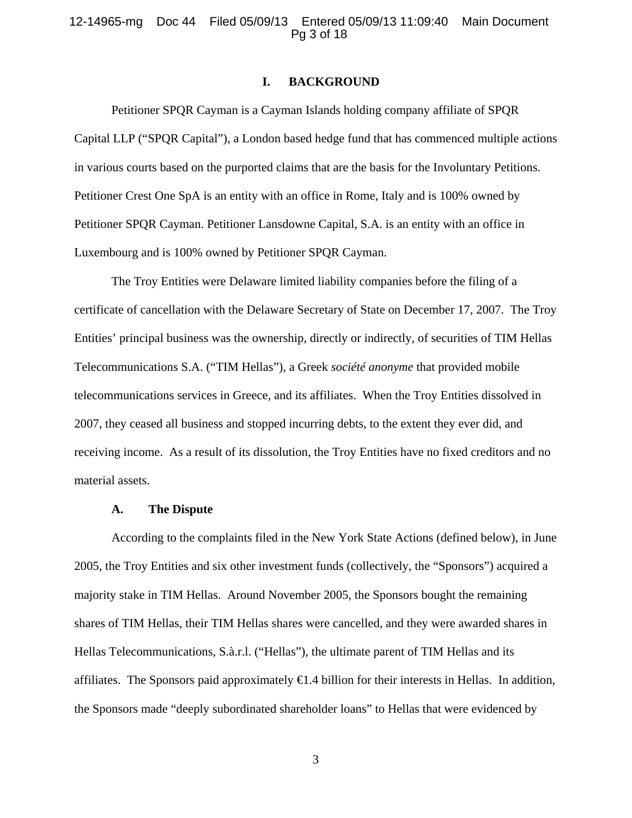#### **I. BACKGROUND**

Petitioner SPQR Cayman is a Cayman Islands holding company affiliate of SPQR Capital LLP ("SPQR Capital"), a London based hedge fund that has commenced multiple actions in various courts based on the purported claims that are the basis for the Involuntary Petitions. Petitioner Crest One SpA is an entity with an office in Rome, Italy and is 100% owned by Petitioner SPQR Cayman. Petitioner Lansdowne Capital, S.A. is an entity with an office in Luxembourg and is 100% owned by Petitioner SPQR Cayman.

The Troy Entities were Delaware limited liability companies before the filing of a certificate of cancellation with the Delaware Secretary of State on December 17, 2007. The Troy Entities' principal business was the ownership, directly or indirectly, of securities of TIM Hellas Telecommunications S.A. ("TIM Hellas"), a Greek *société anonyme* that provided mobile telecommunications services in Greece, and its affiliates. When the Troy Entities dissolved in 2007, they ceased all business and stopped incurring debts, to the extent they ever did, and receiving income. As a result of its dissolution, the Troy Entities have no fixed creditors and no material assets.

#### **A. The Dispute**

According to the complaints filed in the New York State Actions (defined below), in June 2005, the Troy Entities and six other investment funds (collectively, the "Sponsors") acquired a majority stake in TIM Hellas. Around November 2005, the Sponsors bought the remaining shares of TIM Hellas, their TIM Hellas shares were cancelled, and they were awarded shares in Hellas Telecommunications, S.à.r.l. ("Hellas"), the ultimate parent of TIM Hellas and its affiliates. The Sponsors paid approximately  $\bigoplus A$  billion for their interests in Hellas. In addition, the Sponsors made "deeply subordinated shareholder loans" to Hellas that were evidenced by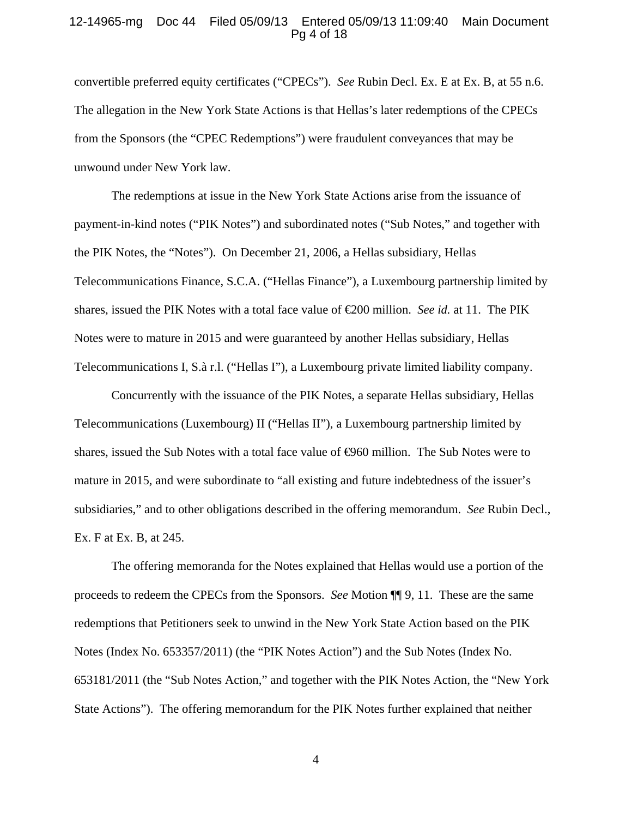#### 12-14965-mg Doc 44 Filed 05/09/13 Entered 05/09/13 11:09:40 Main Document Pg 4 of 18

convertible preferred equity certificates ("CPECs"). *See* Rubin Decl. Ex. E at Ex. B, at 55 n.6. The allegation in the New York State Actions is that Hellas's later redemptions of the CPECs from the Sponsors (the "CPEC Redemptions") were fraudulent conveyances that may be unwound under New York law.

The redemptions at issue in the New York State Actions arise from the issuance of payment-in-kind notes ("PIK Notes") and subordinated notes ("Sub Notes," and together with the PIK Notes, the "Notes"). On December 21, 2006, a Hellas subsidiary, Hellas Telecommunications Finance, S.C.A. ("Hellas Finance"), a Luxembourg partnership limited by shares, issued the PIK Notes with a total face value of €200 million. *See id.* at 11. The PIK Notes were to mature in 2015 and were guaranteed by another Hellas subsidiary, Hellas Telecommunications I, S.à r.l. ("Hellas I"), a Luxembourg private limited liability company.

Concurrently with the issuance of the PIK Notes, a separate Hellas subsidiary, Hellas Telecommunications (Luxembourg) II ("Hellas II"), a Luxembourg partnership limited by shares, issued the Sub Notes with a total face value of  $\Theta$ 60 million. The Sub Notes were to mature in 2015, and were subordinate to "all existing and future indebtedness of the issuer's subsidiaries," and to other obligations described in the offering memorandum. *See* Rubin Decl., Ex. F at Ex. B, at 245.

The offering memoranda for the Notes explained that Hellas would use a portion of the proceeds to redeem the CPECs from the Sponsors. *See* Motion ¶¶ 9, 11. These are the same redemptions that Petitioners seek to unwind in the New York State Action based on the PIK Notes (Index No. 653357/2011) (the "PIK Notes Action") and the Sub Notes (Index No. 653181/2011 (the "Sub Notes Action," and together with the PIK Notes Action, the "New York State Actions"). The offering memorandum for the PIK Notes further explained that neither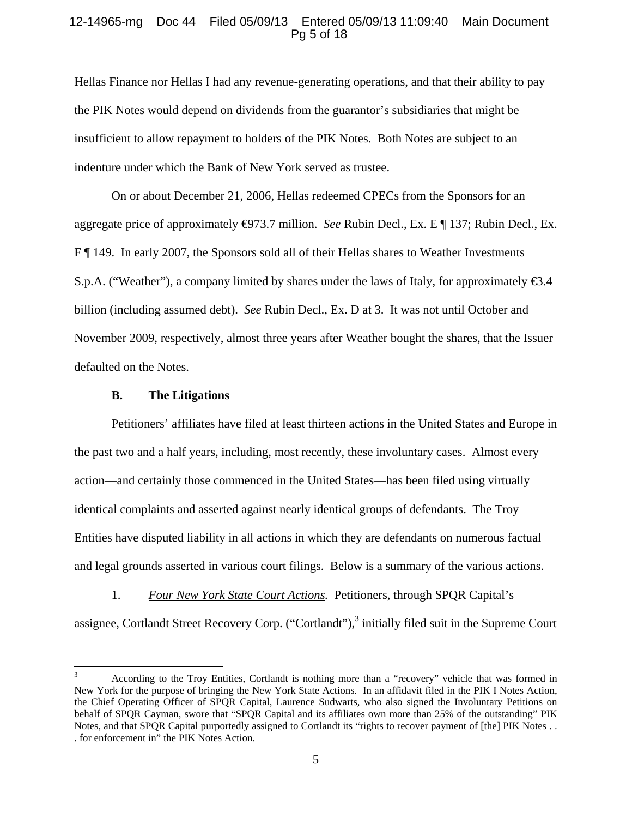# 12-14965-mg Doc 44 Filed 05/09/13 Entered 05/09/13 11:09:40 Main Document Pg 5 of 18

Hellas Finance nor Hellas I had any revenue-generating operations, and that their ability to pay the PIK Notes would depend on dividends from the guarantor's subsidiaries that might be insufficient to allow repayment to holders of the PIK Notes. Both Notes are subject to an indenture under which the Bank of New York served as trustee.

On or about December 21, 2006, Hellas redeemed CPECs from the Sponsors for an aggregate price of approximately €973.7 million. *See* Rubin Decl., Ex. E ¶ 137; Rubin Decl., Ex. F ¶ 149. In early 2007, the Sponsors sold all of their Hellas shares to Weather Investments S.p.A. ("Weather"), a company limited by shares under the laws of Italy, for approximately  $\epsilon_{3.4}$ billion (including assumed debt). *See* Rubin Decl., Ex. D at 3. It was not until October and November 2009, respectively, almost three years after Weather bought the shares, that the Issuer defaulted on the Notes.

# **B. The Litigations**

 $\overline{a}$ 

Petitioners' affiliates have filed at least thirteen actions in the United States and Europe in the past two and a half years, including, most recently, these involuntary cases. Almost every action—and certainly those commenced in the United States—has been filed using virtually identical complaints and asserted against nearly identical groups of defendants. The Troy Entities have disputed liability in all actions in which they are defendants on numerous factual and legal grounds asserted in various court filings. Below is a summary of the various actions.

1. *Four New York State Court Actions.* Petitioners, through SPQR Capital's assignee, Cortlandt Street Recovery Corp. ("Cortlandt"),<sup>3</sup> initially filed suit in the Supreme Court

<sup>3</sup> According to the Troy Entities, Cortlandt is nothing more than a "recovery" vehicle that was formed in New York for the purpose of bringing the New York State Actions. In an affidavit filed in the PIK I Notes Action, the Chief Operating Officer of SPQR Capital, Laurence Sudwarts, who also signed the Involuntary Petitions on behalf of SPQR Cayman, swore that "SPQR Capital and its affiliates own more than 25% of the outstanding" PIK Notes, and that SPQR Capital purportedly assigned to Cortlandt its "rights to recover payment of [the] PIK Notes . . . for enforcement in" the PIK Notes Action.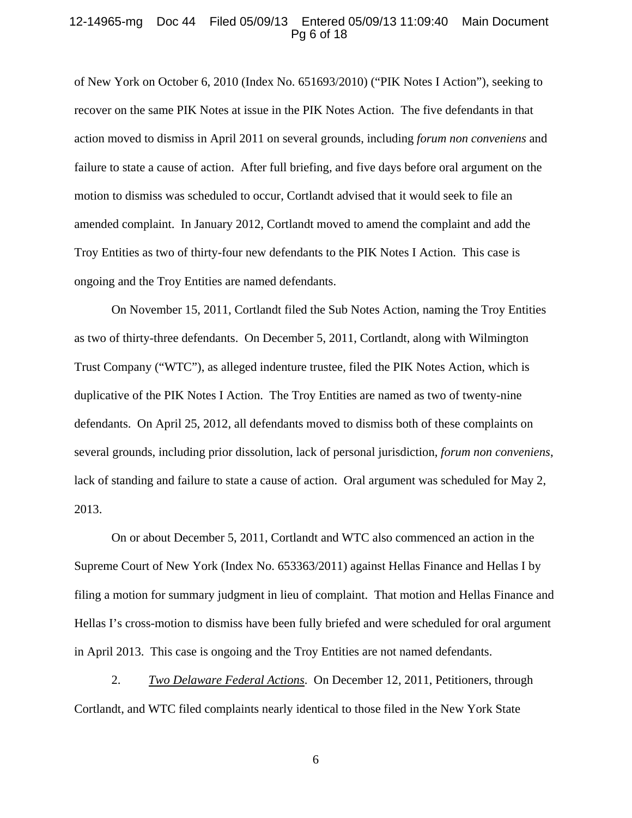#### 12-14965-mg Doc 44 Filed 05/09/13 Entered 05/09/13 11:09:40 Main Document Pg 6 of 18

of New York on October 6, 2010 (Index No. 651693/2010) ("PIK Notes I Action"), seeking to recover on the same PIK Notes at issue in the PIK Notes Action. The five defendants in that action moved to dismiss in April 2011 on several grounds, including *forum non conveniens* and failure to state a cause of action. After full briefing, and five days before oral argument on the motion to dismiss was scheduled to occur, Cortlandt advised that it would seek to file an amended complaint. In January 2012, Cortlandt moved to amend the complaint and add the Troy Entities as two of thirty-four new defendants to the PIK Notes I Action. This case is ongoing and the Troy Entities are named defendants.

On November 15, 2011, Cortlandt filed the Sub Notes Action, naming the Troy Entities as two of thirty-three defendants. On December 5, 2011, Cortlandt, along with Wilmington Trust Company ("WTC"), as alleged indenture trustee, filed the PIK Notes Action, which is duplicative of the PIK Notes I Action. The Troy Entities are named as two of twenty-nine defendants. On April 25, 2012, all defendants moved to dismiss both of these complaints on several grounds, including prior dissolution, lack of personal jurisdiction, *forum non conveniens*, lack of standing and failure to state a cause of action. Oral argument was scheduled for May 2, 2013.

On or about December 5, 2011, Cortlandt and WTC also commenced an action in the Supreme Court of New York (Index No. 653363/2011) against Hellas Finance and Hellas I by filing a motion for summary judgment in lieu of complaint. That motion and Hellas Finance and Hellas I's cross-motion to dismiss have been fully briefed and were scheduled for oral argument in April 2013. This case is ongoing and the Troy Entities are not named defendants.

2. *Two Delaware Federal Actions*. On December 12, 2011, Petitioners, through Cortlandt, and WTC filed complaints nearly identical to those filed in the New York State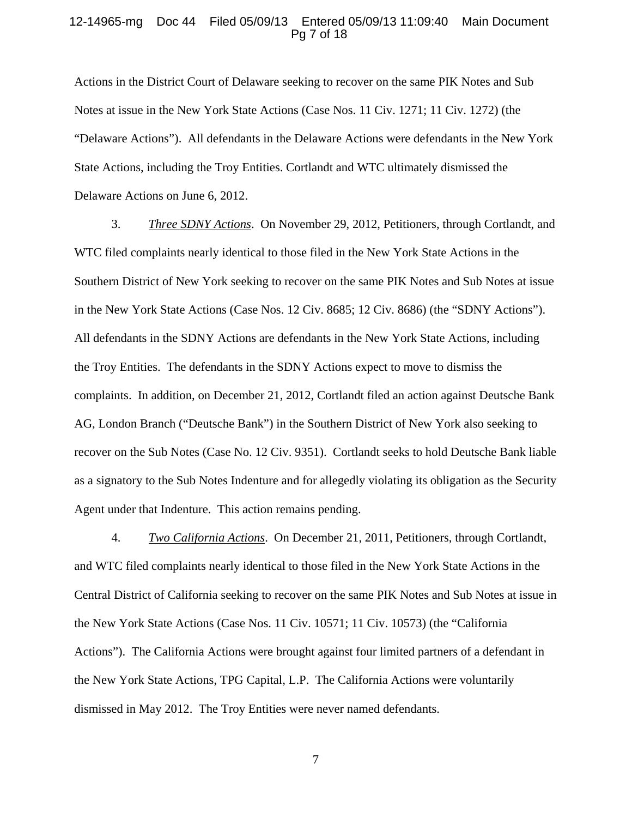#### 12-14965-mg Doc 44 Filed 05/09/13 Entered 05/09/13 11:09:40 Main Document Pg 7 of 18

Actions in the District Court of Delaware seeking to recover on the same PIK Notes and Sub Notes at issue in the New York State Actions (Case Nos. 11 Civ. 1271; 11 Civ. 1272) (the "Delaware Actions"). All defendants in the Delaware Actions were defendants in the New York State Actions, including the Troy Entities. Cortlandt and WTC ultimately dismissed the Delaware Actions on June 6, 2012.

3. *Three SDNY Actions*. On November 29, 2012, Petitioners, through Cortlandt, and WTC filed complaints nearly identical to those filed in the New York State Actions in the Southern District of New York seeking to recover on the same PIK Notes and Sub Notes at issue in the New York State Actions (Case Nos. 12 Civ. 8685; 12 Civ. 8686) (the "SDNY Actions"). All defendants in the SDNY Actions are defendants in the New York State Actions, including the Troy Entities. The defendants in the SDNY Actions expect to move to dismiss the complaints. In addition, on December 21, 2012, Cortlandt filed an action against Deutsche Bank AG, London Branch ("Deutsche Bank") in the Southern District of New York also seeking to recover on the Sub Notes (Case No. 12 Civ. 9351). Cortlandt seeks to hold Deutsche Bank liable as a signatory to the Sub Notes Indenture and for allegedly violating its obligation as the Security Agent under that Indenture. This action remains pending.

4. *Two California Actions*. On December 21, 2011, Petitioners, through Cortlandt, and WTC filed complaints nearly identical to those filed in the New York State Actions in the Central District of California seeking to recover on the same PIK Notes and Sub Notes at issue in the New York State Actions (Case Nos. 11 Civ. 10571; 11 Civ. 10573) (the "California Actions"). The California Actions were brought against four limited partners of a defendant in the New York State Actions, TPG Capital, L.P. The California Actions were voluntarily dismissed in May 2012. The Troy Entities were never named defendants.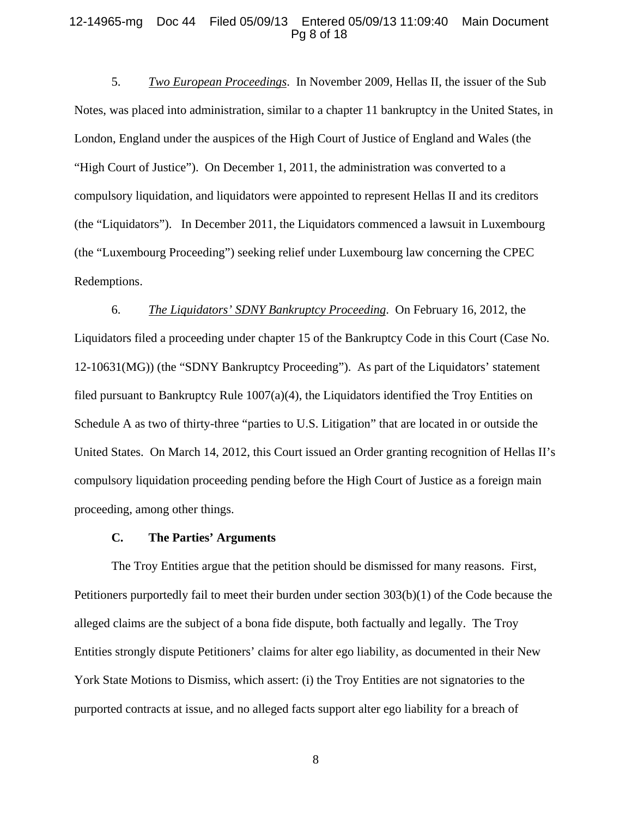#### 12-14965-mg Doc 44 Filed 05/09/13 Entered 05/09/13 11:09:40 Main Document Pg 8 of 18

5. *Two European Proceedings*. In November 2009, Hellas II, the issuer of the Sub Notes, was placed into administration, similar to a chapter 11 bankruptcy in the United States, in London, England under the auspices of the High Court of Justice of England and Wales (the "High Court of Justice"). On December 1, 2011, the administration was converted to a compulsory liquidation, and liquidators were appointed to represent Hellas II and its creditors (the "Liquidators"). In December 2011, the Liquidators commenced a lawsuit in Luxembourg (the "Luxembourg Proceeding") seeking relief under Luxembourg law concerning the CPEC Redemptions.

6. *The Liquidators' SDNY Bankruptcy Proceeding*. On February 16, 2012, the Liquidators filed a proceeding under chapter 15 of the Bankruptcy Code in this Court (Case No. 12-10631(MG)) (the "SDNY Bankruptcy Proceeding"). As part of the Liquidators' statement filed pursuant to Bankruptcy Rule  $1007(a)(4)$ , the Liquidators identified the Troy Entities on Schedule A as two of thirty-three "parties to U.S. Litigation" that are located in or outside the United States. On March 14, 2012, this Court issued an Order granting recognition of Hellas II's compulsory liquidation proceeding pending before the High Court of Justice as a foreign main proceeding, among other things.

## **C. The Parties' Arguments**

The Troy Entities argue that the petition should be dismissed for many reasons. First, Petitioners purportedly fail to meet their burden under section 303(b)(1) of the Code because the alleged claims are the subject of a bona fide dispute, both factually and legally. The Troy Entities strongly dispute Petitioners' claims for alter ego liability, as documented in their New York State Motions to Dismiss, which assert: (i) the Troy Entities are not signatories to the purported contracts at issue, and no alleged facts support alter ego liability for a breach of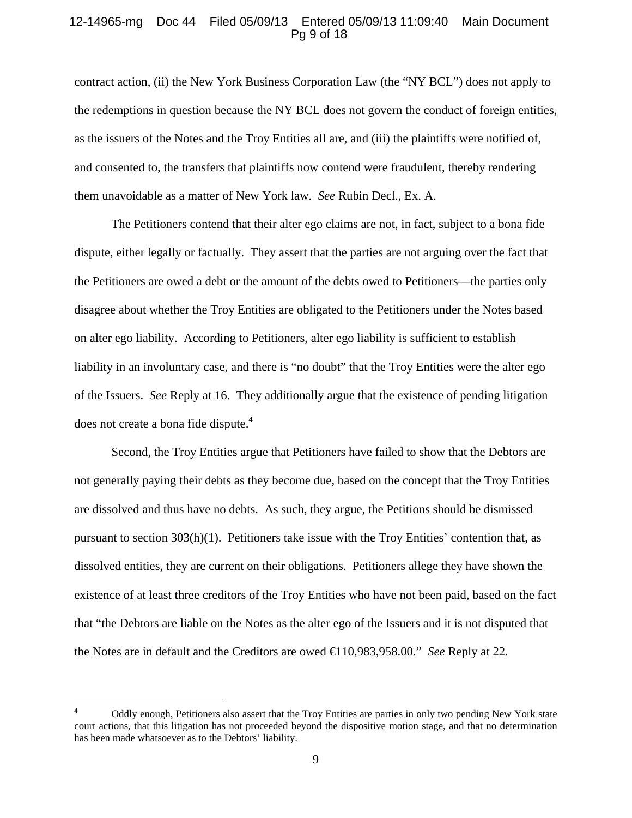### 12-14965-mg Doc 44 Filed 05/09/13 Entered 05/09/13 11:09:40 Main Document Pg 9 of 18

contract action, (ii) the New York Business Corporation Law (the "NY BCL") does not apply to the redemptions in question because the NY BCL does not govern the conduct of foreign entities, as the issuers of the Notes and the Troy Entities all are, and (iii) the plaintiffs were notified of, and consented to, the transfers that plaintiffs now contend were fraudulent, thereby rendering them unavoidable as a matter of New York law. *See* Rubin Decl., Ex. A.

The Petitioners contend that their alter ego claims are not, in fact, subject to a bona fide dispute, either legally or factually. They assert that the parties are not arguing over the fact that the Petitioners are owed a debt or the amount of the debts owed to Petitioners—the parties only disagree about whether the Troy Entities are obligated to the Petitioners under the Notes based on alter ego liability. According to Petitioners, alter ego liability is sufficient to establish liability in an involuntary case, and there is "no doubt" that the Troy Entities were the alter ego of the Issuers. *See* Reply at 16. They additionally argue that the existence of pending litigation does not create a bona fide dispute. $4$ 

Second, the Troy Entities argue that Petitioners have failed to show that the Debtors are not generally paying their debts as they become due, based on the concept that the Troy Entities are dissolved and thus have no debts. As such, they argue, the Petitions should be dismissed pursuant to section 303(h)(1). Petitioners take issue with the Troy Entities' contention that, as dissolved entities, they are current on their obligations. Petitioners allege they have shown the existence of at least three creditors of the Troy Entities who have not been paid, based on the fact that "the Debtors are liable on the Notes as the alter ego of the Issuers and it is not disputed that the Notes are in default and the Creditors are owed €110,983,958.00." *See* Reply at 22.

 $\frac{1}{4}$  Oddly enough, Petitioners also assert that the Troy Entities are parties in only two pending New York state court actions, that this litigation has not proceeded beyond the dispositive motion stage, and that no determination has been made whatsoever as to the Debtors' liability.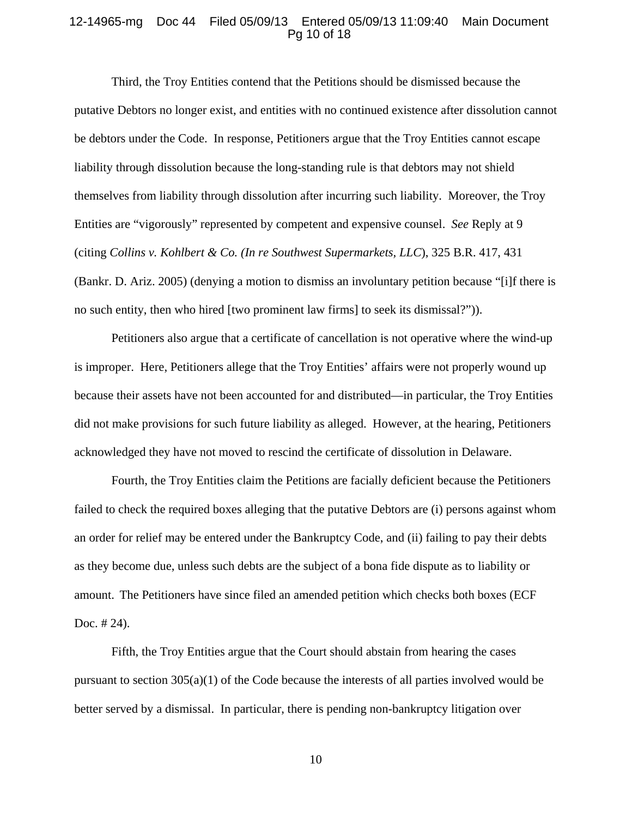#### 12-14965-mg Doc 44 Filed 05/09/13 Entered 05/09/13 11:09:40 Main Document Pg 10 of 18

Third, the Troy Entities contend that the Petitions should be dismissed because the putative Debtors no longer exist, and entities with no continued existence after dissolution cannot be debtors under the Code. In response, Petitioners argue that the Troy Entities cannot escape liability through dissolution because the long-standing rule is that debtors may not shield themselves from liability through dissolution after incurring such liability. Moreover, the Troy Entities are "vigorously" represented by competent and expensive counsel. *See* Reply at 9 (citing *Collins v. Kohlbert & Co. (In re Southwest Supermarkets, LLC*), 325 B.R. 417, 431 (Bankr. D. Ariz. 2005) (denying a motion to dismiss an involuntary petition because "[i]f there is no such entity, then who hired [two prominent law firms] to seek its dismissal?")).

Petitioners also argue that a certificate of cancellation is not operative where the wind-up is improper. Here, Petitioners allege that the Troy Entities' affairs were not properly wound up because their assets have not been accounted for and distributed—in particular, the Troy Entities did not make provisions for such future liability as alleged. However, at the hearing, Petitioners acknowledged they have not moved to rescind the certificate of dissolution in Delaware.

Fourth, the Troy Entities claim the Petitions are facially deficient because the Petitioners failed to check the required boxes alleging that the putative Debtors are (i) persons against whom an order for relief may be entered under the Bankruptcy Code, and (ii) failing to pay their debts as they become due, unless such debts are the subject of a bona fide dispute as to liability or amount. The Petitioners have since filed an amended petition which checks both boxes (ECF Doc. # 24).

Fifth, the Troy Entities argue that the Court should abstain from hearing the cases pursuant to section  $305(a)(1)$  of the Code because the interests of all parties involved would be better served by a dismissal. In particular, there is pending non-bankruptcy litigation over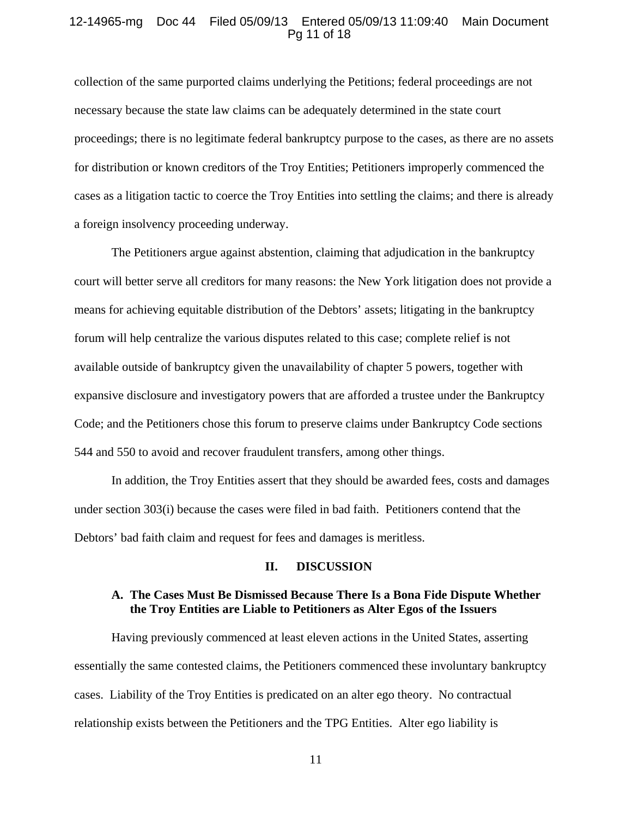# 12-14965-mg Doc 44 Filed 05/09/13 Entered 05/09/13 11:09:40 Main Document Pg 11 of 18

collection of the same purported claims underlying the Petitions; federal proceedings are not necessary because the state law claims can be adequately determined in the state court proceedings; there is no legitimate federal bankruptcy purpose to the cases, as there are no assets for distribution or known creditors of the Troy Entities; Petitioners improperly commenced the cases as a litigation tactic to coerce the Troy Entities into settling the claims; and there is already a foreign insolvency proceeding underway.

The Petitioners argue against abstention, claiming that adjudication in the bankruptcy court will better serve all creditors for many reasons: the New York litigation does not provide a means for achieving equitable distribution of the Debtors' assets; litigating in the bankruptcy forum will help centralize the various disputes related to this case; complete relief is not available outside of bankruptcy given the unavailability of chapter 5 powers, together with expansive disclosure and investigatory powers that are afforded a trustee under the Bankruptcy Code; and the Petitioners chose this forum to preserve claims under Bankruptcy Code sections 544 and 550 to avoid and recover fraudulent transfers, among other things.

In addition, the Troy Entities assert that they should be awarded fees, costs and damages under section 303(i) because the cases were filed in bad faith. Petitioners contend that the Debtors' bad faith claim and request for fees and damages is meritless.

#### **II. DISCUSSION**

# **A. The Cases Must Be Dismissed Because There Is a Bona Fide Dispute Whether the Troy Entities are Liable to Petitioners as Alter Egos of the Issuers**

Having previously commenced at least eleven actions in the United States, asserting essentially the same contested claims, the Petitioners commenced these involuntary bankruptcy cases. Liability of the Troy Entities is predicated on an alter ego theory. No contractual relationship exists between the Petitioners and the TPG Entities. Alter ego liability is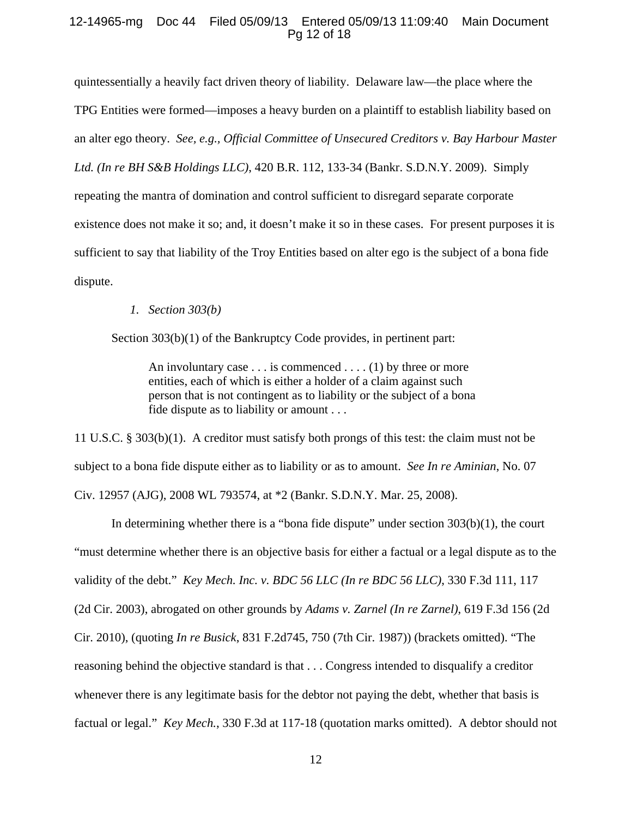# 12-14965-mg Doc 44 Filed 05/09/13 Entered 05/09/13 11:09:40 Main Document Pg 12 of 18

quintessentially a heavily fact driven theory of liability. Delaware law—the place where the TPG Entities were formed—imposes a heavy burden on a plaintiff to establish liability based on an alter ego theory. *See, e.g., Official Committee of Unsecured Creditors v. Bay Harbour Master Ltd. (In re BH S&B Holdings LLC)*, 420 B.R. 112, 133-34 (Bankr. S.D.N.Y. 2009). Simply repeating the mantra of domination and control sufficient to disregard separate corporate existence does not make it so; and, it doesn't make it so in these cases. For present purposes it is sufficient to say that liability of the Troy Entities based on alter ego is the subject of a bona fide dispute.

# *1. Section 303(b)*

Section 303(b)(1) of the Bankruptcy Code provides, in pertinent part:

An involuntary case  $\dots$  is commenced  $\dots$  (1) by three or more entities, each of which is either a holder of a claim against such person that is not contingent as to liability or the subject of a bona fide dispute as to liability or amount . . .

11 U.S.C. § 303(b)(1). A creditor must satisfy both prongs of this test: the claim must not be subject to a bona fide dispute either as to liability or as to amount. *See In re Aminian*, No. 07 Civ. 12957 (AJG), 2008 WL 793574, at \*2 (Bankr. S.D.N.Y. Mar. 25, 2008).

In determining whether there is a "bona fide dispute" under section 303(b)(1), the court "must determine whether there is an objective basis for either a factual or a legal dispute as to the validity of the debt." *Key Mech. Inc. v. BDC 56 LLC (In re BDC 56 LLC)*, 330 F.3d 111, 117 (2d Cir. 2003), abrogated on other grounds by *Adams v. Zarnel (In re Zarnel)*, 619 F.3d 156 (2d Cir. 2010), (quoting *In re Busick*, 831 F.2d745, 750 (7th Cir. 1987)) (brackets omitted). "The reasoning behind the objective standard is that . . . Congress intended to disqualify a creditor whenever there is any legitimate basis for the debtor not paying the debt, whether that basis is factual or legal." *Key Mech.*, 330 F.3d at 117-18 (quotation marks omitted). A debtor should not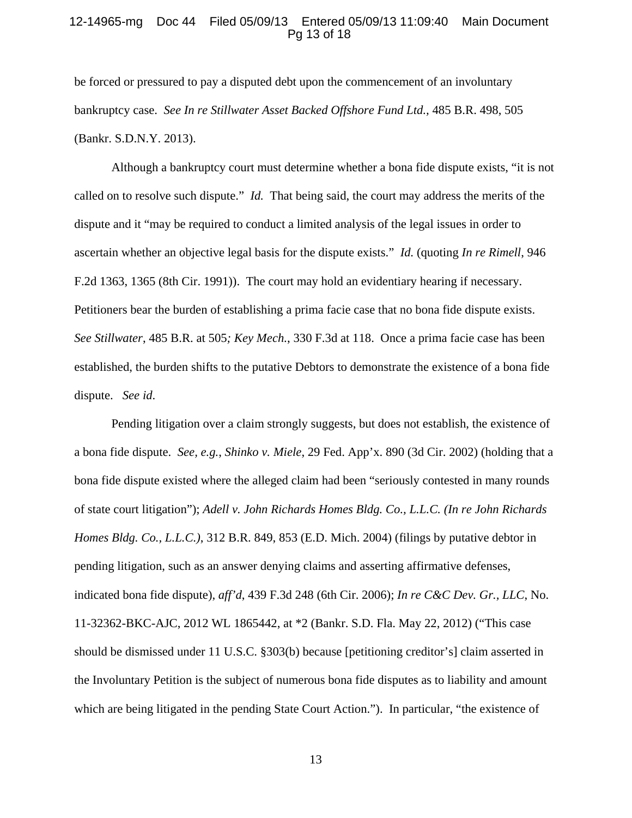### 12-14965-mg Doc 44 Filed 05/09/13 Entered 05/09/13 11:09:40 Main Document Pg 13 of 18

be forced or pressured to pay a disputed debt upon the commencement of an involuntary bankruptcy case. *See In re Stillwater Asset Backed Offshore Fund Ltd.,* 485 B.R. 498, 505 (Bankr. S.D.N.Y. 2013).

Although a bankruptcy court must determine whether a bona fide dispute exists, "it is not called on to resolve such dispute." *Id.* That being said, the court may address the merits of the dispute and it "may be required to conduct a limited analysis of the legal issues in order to ascertain whether an objective legal basis for the dispute exists." *Id.* (quoting *In re Rimell*, 946 F.2d 1363, 1365 (8th Cir. 1991)). The court may hold an evidentiary hearing if necessary. Petitioners bear the burden of establishing a prima facie case that no bona fide dispute exists. *See Stillwater*, 485 B.R. at 505*; Key Mech.*, 330 F.3d at 118. Once a prima facie case has been established, the burden shifts to the putative Debtors to demonstrate the existence of a bona fide dispute. *See id*.

Pending litigation over a claim strongly suggests, but does not establish, the existence of a bona fide dispute. *See, e.g.*, *Shinko v. Miele*, 29 Fed. App'x. 890 (3d Cir. 2002) (holding that a bona fide dispute existed where the alleged claim had been "seriously contested in many rounds of state court litigation"); *Adell v. John Richards Homes Bldg. Co., L.L.C. (In re John Richards Homes Bldg. Co., L.L.C.)*, 312 B.R. 849, 853 (E.D. Mich. 2004) (filings by putative debtor in pending litigation, such as an answer denying claims and asserting affirmative defenses, indicated bona fide dispute), *aff'd*, 439 F.3d 248 (6th Cir. 2006); *In re C&C Dev. Gr., LLC*, No. 11-32362-BKC-AJC, 2012 WL 1865442, at \*2 (Bankr. S.D. Fla. May 22, 2012) ("This case should be dismissed under 11 U.S.C. §303(b) because [petitioning creditor's] claim asserted in the Involuntary Petition is the subject of numerous bona fide disputes as to liability and amount which are being litigated in the pending State Court Action."). In particular, "the existence of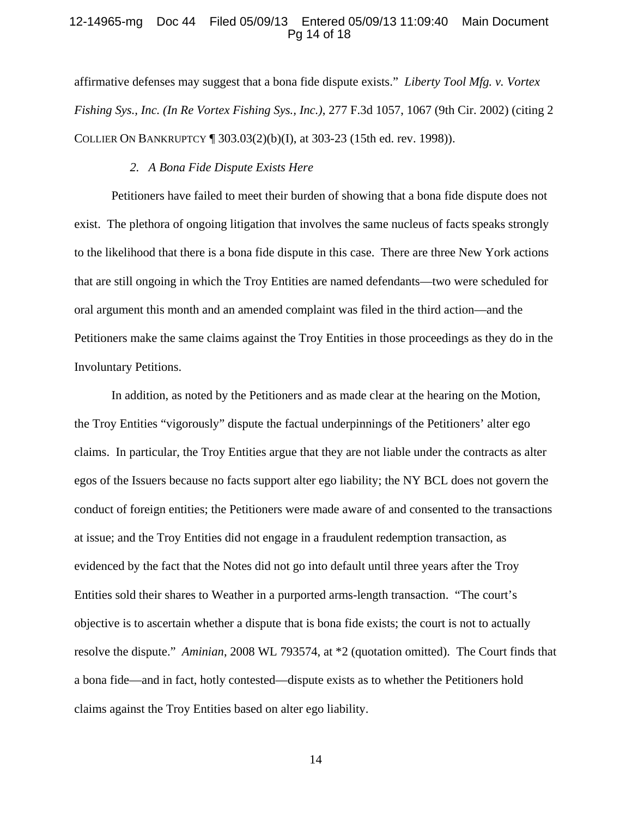### 12-14965-mg Doc 44 Filed 05/09/13 Entered 05/09/13 11:09:40 Main Document Pg 14 of 18

affirmative defenses may suggest that a bona fide dispute exists." *Liberty Tool Mfg. v. Vortex Fishing Sys., Inc. (In Re Vortex Fishing Sys., Inc.)*, 277 F.3d 1057, 1067 (9th Cir. 2002) (citing 2 COLLIER ON BANKRUPTCY ¶ 303.03(2)(b)(I), at 303-23 (15th ed. rev. 1998)).

# *2. A Bona Fide Dispute Exists Here*

Petitioners have failed to meet their burden of showing that a bona fide dispute does not exist. The plethora of ongoing litigation that involves the same nucleus of facts speaks strongly to the likelihood that there is a bona fide dispute in this case. There are three New York actions that are still ongoing in which the Troy Entities are named defendants—two were scheduled for oral argument this month and an amended complaint was filed in the third action—and the Petitioners make the same claims against the Troy Entities in those proceedings as they do in the Involuntary Petitions.

In addition, as noted by the Petitioners and as made clear at the hearing on the Motion, the Troy Entities "vigorously" dispute the factual underpinnings of the Petitioners' alter ego claims. In particular, the Troy Entities argue that they are not liable under the contracts as alter egos of the Issuers because no facts support alter ego liability; the NY BCL does not govern the conduct of foreign entities; the Petitioners were made aware of and consented to the transactions at issue; and the Troy Entities did not engage in a fraudulent redemption transaction, as evidenced by the fact that the Notes did not go into default until three years after the Troy Entities sold their shares to Weather in a purported arms-length transaction. "The court's objective is to ascertain whether a dispute that is bona fide exists; the court is not to actually resolve the dispute." *Aminian*, 2008 WL 793574, at \*2 (quotation omitted). The Court finds that a bona fide—and in fact, hotly contested—dispute exists as to whether the Petitioners hold claims against the Troy Entities based on alter ego liability.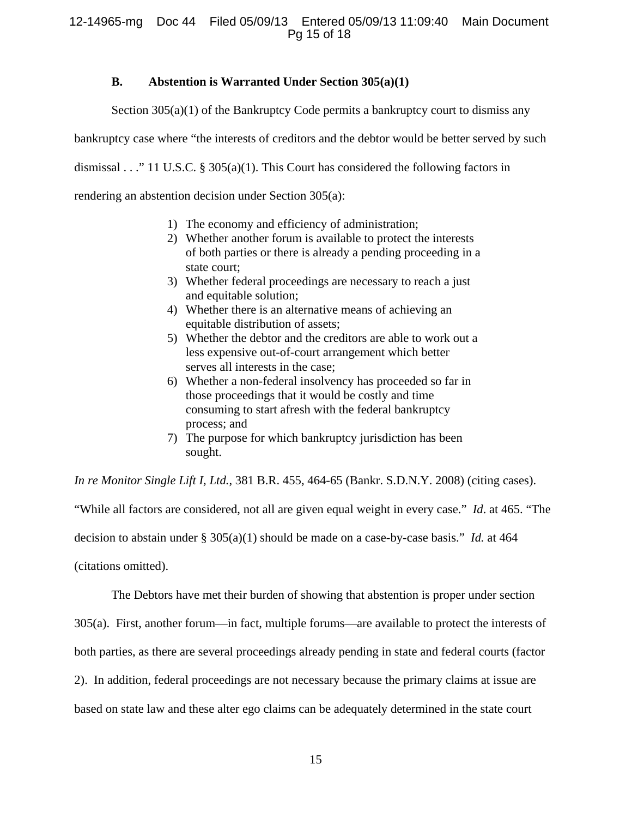# **B. Abstention is Warranted Under Section 305(a)(1)**

Section  $305(a)(1)$  of the Bankruptcy Code permits a bankruptcy court to dismiss any

bankruptcy case where "the interests of creditors and the debtor would be better served by such

dismissal . . ." 11 U.S.C. § 305(a)(1). This Court has considered the following factors in

rendering an abstention decision under Section 305(a):

- 1) The economy and efficiency of administration;
- 2) Whether another forum is available to protect the interests of both parties or there is already a pending proceeding in a state court;
- 3) Whether federal proceedings are necessary to reach a just and equitable solution;
- 4) Whether there is an alternative means of achieving an equitable distribution of assets;
- 5) Whether the debtor and the creditors are able to work out a less expensive out-of-court arrangement which better serves all interests in the case;
- 6) Whether a non-federal insolvency has proceeded so far in those proceedings that it would be costly and time consuming to start afresh with the federal bankruptcy process; and
- 7) The purpose for which bankruptcy jurisdiction has been sought.

*In re Monitor Single Lift I, Ltd.*, 381 B.R. 455, 464-65 (Bankr. S.D.N.Y. 2008) (citing cases).

"While all factors are considered, not all are given equal weight in every case." *Id*. at 465. "The decision to abstain under § 305(a)(1) should be made on a case-by-case basis." *Id.* at 464

(citations omitted).

The Debtors have met their burden of showing that abstention is proper under section

305(a). First, another forum—in fact, multiple forums—are available to protect the interests of

both parties, as there are several proceedings already pending in state and federal courts (factor

2). In addition, federal proceedings are not necessary because the primary claims at issue are

based on state law and these alter ego claims can be adequately determined in the state court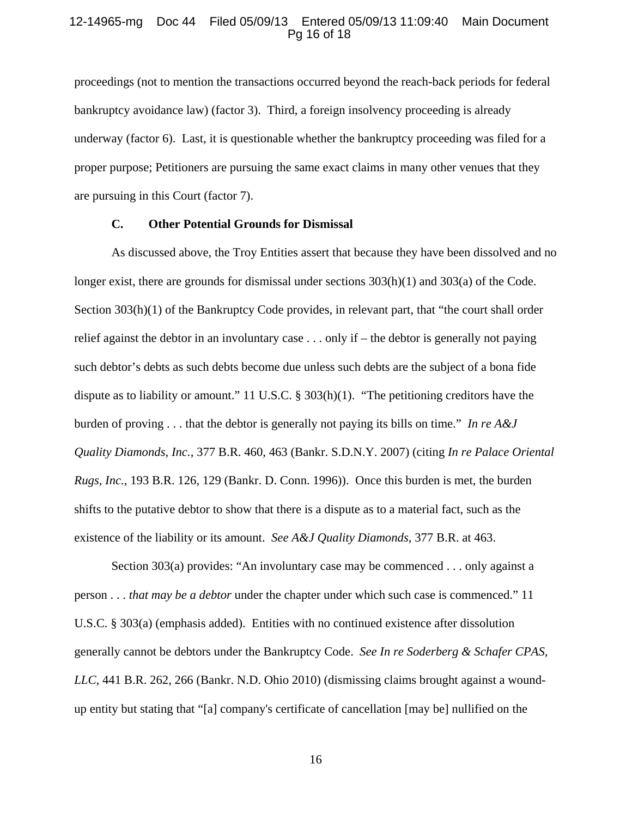### 12-14965-mg Doc 44 Filed 05/09/13 Entered 05/09/13 11:09:40 Main Document Pg 16 of 18

proceedings (not to mention the transactions occurred beyond the reach-back periods for federal bankruptcy avoidance law) (factor 3). Third, a foreign insolvency proceeding is already underway (factor 6). Last, it is questionable whether the bankruptcy proceeding was filed for a proper purpose; Petitioners are pursuing the same exact claims in many other venues that they are pursuing in this Court (factor 7).

#### **C. Other Potential Grounds for Dismissal**

As discussed above, the Troy Entities assert that because they have been dissolved and no longer exist, there are grounds for dismissal under sections 303(h)(1) and 303(a) of the Code. Section 303(h)(1) of the Bankruptcy Code provides, in relevant part, that "the court shall order relief against the debtor in an involuntary case . . . only if – the debtor is generally not paying such debtor's debts as such debts become due unless such debts are the subject of a bona fide dispute as to liability or amount." 11 U.S.C. § 303(h)(1). "The petitioning creditors have the burden of proving . . . that the debtor is generally not paying its bills on time." *In re A&J Quality Diamonds, Inc.*, 377 B.R. 460, 463 (Bankr. S.D.N.Y. 2007) (citing *In re Palace Oriental Rugs, Inc.*, 193 B.R. 126, 129 (Bankr. D. Conn. 1996)). Once this burden is met, the burden shifts to the putative debtor to show that there is a dispute as to a material fact, such as the existence of the liability or its amount. *See A&J Quality Diamonds*, 377 B.R. at 463.

Section 303(a) provides: "An involuntary case may be commenced . . . only against a person . . . *that may be a debtor* under the chapter under which such case is commenced." 11 U.S.C. § 303(a) (emphasis added). Entities with no continued existence after dissolution generally cannot be debtors under the Bankruptcy Code. *See In re Soderberg & Schafer CPAS, LLC*, 441 B.R. 262, 266 (Bankr. N.D. Ohio 2010) (dismissing claims brought against a woundup entity but stating that "[a] company's certificate of cancellation [may be] nullified on the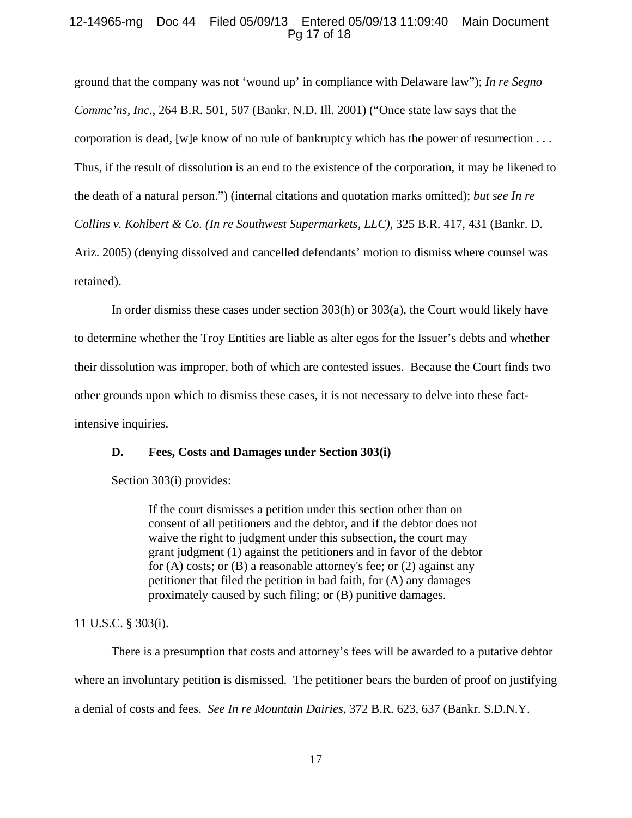# 12-14965-mg Doc 44 Filed 05/09/13 Entered 05/09/13 11:09:40 Main Document Pg 17 of 18

ground that the company was not 'wound up' in compliance with Delaware law"); *In re Segno Commc'ns, Inc*., 264 B.R. 501, 507 (Bankr. N.D. Ill. 2001) ("Once state law says that the corporation is dead, [w]e know of no rule of bankruptcy which has the power of resurrection . . . Thus, if the result of dissolution is an end to the existence of the corporation, it may be likened to the death of a natural person.") (internal citations and quotation marks omitted); *but see In re Collins v. Kohlbert & Co. (In re Southwest Supermarkets, LLC),* 325 B.R. 417, 431 (Bankr. D. Ariz. 2005) (denying dissolved and cancelled defendants' motion to dismiss where counsel was retained).

In order dismiss these cases under section 303(h) or 303(a), the Court would likely have to determine whether the Troy Entities are liable as alter egos for the Issuer's debts and whether their dissolution was improper, both of which are contested issues. Because the Court finds two other grounds upon which to dismiss these cases, it is not necessary to delve into these factintensive inquiries.

# **D. Fees, Costs and Damages under Section 303(i)**

Section 303(i) provides:

If the court dismisses a petition under this section other than on consent of all petitioners and the debtor, and if the debtor does not waive the right to judgment under this subsection, the court may grant judgment (1) against the petitioners and in favor of the debtor for (A) costs; or (B) a reasonable attorney's fee; or (2) against any petitioner that filed the petition in bad faith, for (A) any damages proximately caused by such filing; or (B) punitive damages.

11 U.S.C. § 303(i).

There is a presumption that costs and attorney's fees will be awarded to a putative debtor where an involuntary petition is dismissed. The petitioner bears the burden of proof on justifying a denial of costs and fees. *See In re Mountain Dairies*, 372 B.R. 623, 637 (Bankr. S.D.N.Y.